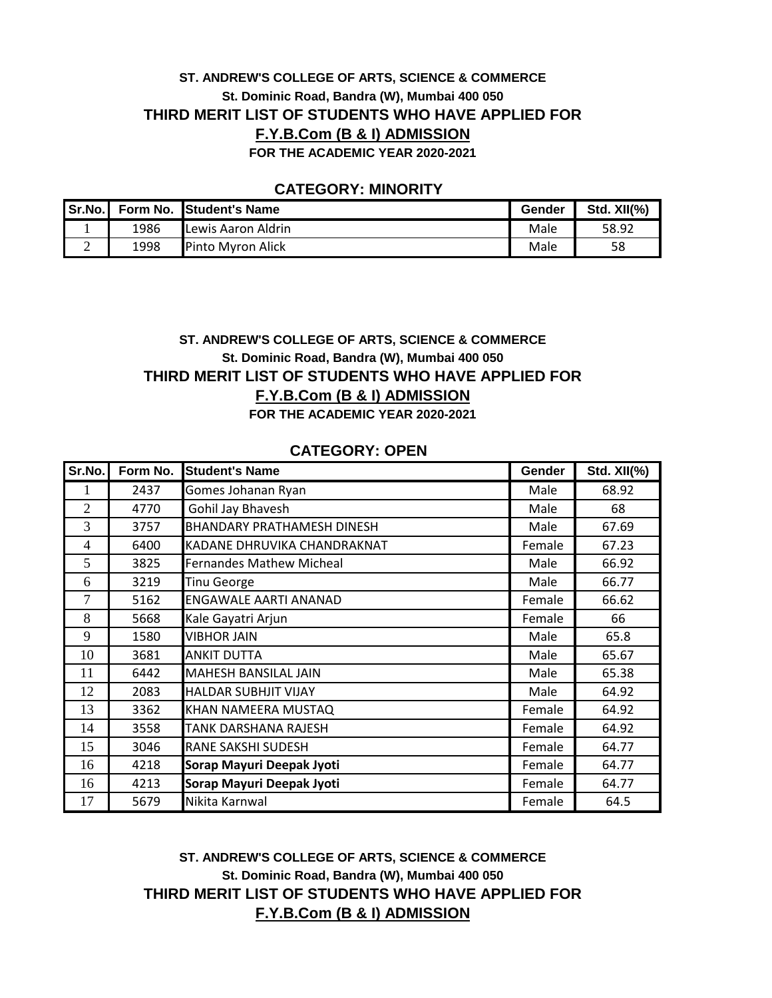## **ST. ANDREW'S COLLEGE OF ARTS, SCIENCE & COMMERCE St. Dominic Road, Bandra (W), Mumbai 400 050 THIRD MERIT LIST OF STUDENTS WHO HAVE APPLIED FOR F.Y.B.Com (B & I) ADMISSION FOR THE ACADEMIC YEAR 2020-2021**

### **CATEGORY: MINORITY**

| Sr.No. |      | Form No. Student's Name  | Gender | Std. $XII(\% )$ |
|--------|------|--------------------------|--------|-----------------|
|        | 1986 | Lewis Aaron Aldrin       | Male   | 58.92           |
| ⊷      | 1998 | <b>Pinto Myron Alick</b> | Male   | 58              |

# **ST. ANDREW'S COLLEGE OF ARTS, SCIENCE & COMMERCE St. Dominic Road, Bandra (W), Mumbai 400 050 THIRD MERIT LIST OF STUDENTS WHO HAVE APPLIED FOR F.Y.B.Com (B & I) ADMISSION**

**FOR THE ACADEMIC YEAR 2020-2021**

| Sr.No.         | Form No. | <b>Student's Name</b>             | Gender | <b>Std. XII(%)</b> |
|----------------|----------|-----------------------------------|--------|--------------------|
| 1              | 2437     | Gomes Johanan Ryan                | Male   | 68.92              |
| $\overline{2}$ | 4770     | Gohil Jay Bhavesh                 | Male   | 68                 |
| 3              | 3757     | <b>BHANDARY PRATHAMESH DINESH</b> | Male   | 67.69              |
| $\overline{4}$ | 6400     | KADANE DHRUVIKA CHANDRAKNAT       | Female | 67.23              |
| 5              | 3825     | <b>Fernandes Mathew Micheal</b>   | Male   | 66.92              |
| 6              | 3219     | <b>Tinu George</b>                | Male   | 66.77              |
| 7              | 5162     | <b>ENGAWALE AARTI ANANAD</b>      | Female | 66.62              |
| 8              | 5668     | Kale Gayatri Arjun                | Female | 66                 |
| 9              | 1580     | <b>VIBHOR JAIN</b>                | Male   | 65.8               |
| 10             | 3681     | <b>ANKIT DUTTA</b>                | Male   | 65.67              |
| 11             | 6442     | <b>MAHESH BANSILAL JAIN</b>       | Male   | 65.38              |
| 12             | 2083     | <b>HALDAR SUBHJIT VIJAY</b>       | Male   | 64.92              |
| 13             | 3362     | KHAN NAMEERA MUSTAQ               | Female | 64.92              |
| 14             | 3558     | <b>TANK DARSHANA RAJESH</b>       | Female | 64.92              |
| 15             | 3046     | <b>RANE SAKSHI SUDESH</b>         | Female | 64.77              |
| 16             | 4218     | Sorap Mayuri Deepak Jyoti         | Female | 64.77              |
| 16             | 4213     | Sorap Mayuri Deepak Jyoti         | Female | 64.77              |
| 17             | 5679     | Nikita Karnwal                    | Female | 64.5               |

### **CATEGORY: OPEN**

## **ST. ANDREW'S COLLEGE OF ARTS, SCIENCE & COMMERCE St. Dominic Road, Bandra (W), Mumbai 400 050 THIRD MERIT LIST OF STUDENTS WHO HAVE APPLIED FOR F.Y.B.Com (B & I) ADMISSION**